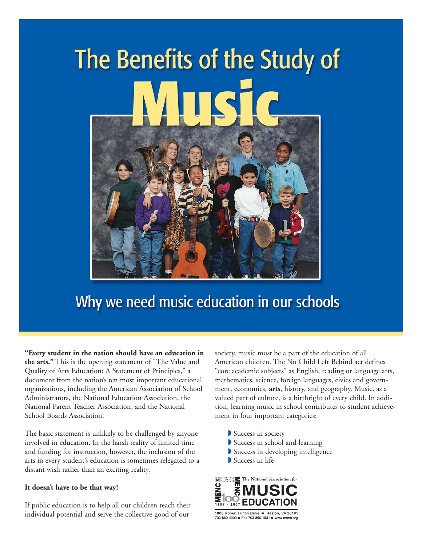

### Why we need music education in our schools

**"Every student in the nation should have an education in the arts."** This is the opening statement of "The Value and Quality of Arts Education: A Statement of Principles," a document from the nation's ten most important educational organizations, including the American Association of School Administrators, the National Education Association, the National Parent Teacher Association, and the National School Boards Association.

The basic statement is unlikely to be challenged by anyone involved in education. In the harsh reality of limited time and funding for instruction, however, the inclusion of the arts in every student's education is sometimes relegated to a distant wish rather than an exciting reality.

#### **It doesn't have to be that way!**

If public education is to help all our children reach their individual potential and serve the collective good of our

society, music must be a part of the education of all American children. The No Child Left Behind act defines "core academic subjects" as English, reading or language arts, mathematics, science, foreign languages, civics and government, economics, **arts**, history, and geography. Music, as a valued part of culture, is a birthright of every child. In addition, learning music in school contributes to student achievement in four important categories:

- **▶ Success in society**
- Success in school and learning
- ◗ Success in developing intelligence
- **▶ Success in life**



1806 Robert Fulton Drive ■ Reston, VA 20191 703-860-4000 **E** Fax 703-860-1531 **E** www.menc.org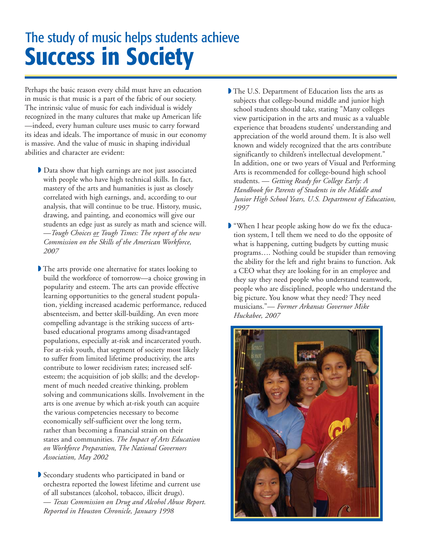### **Success in Society** The study of music helps students achieve

Perhaps the basic reason every child must have an education in music is that music is a part of the fabric of our society. The intrinsic value of music for each individual is widely recognized in the many cultures that make up American life —indeed, every human culture uses music to carry forward its ideas and ideals. The importance of music in our economy is massive. And the value of music in shaping individual abilities and character are evident:

- ◗ Data show that high earnings are not just associated with people who have high technical skills. In fact, mastery of the arts and humanities is just as closely correlated with high earnings, and, according to our analysis, that will continue to be true. History, music, drawing, and painting, and economics will give our students an edge just as surely as math and science will. —*Tough Choices or Tough Times: The report of the new Commission on the Skills of the American Workforce, 2007*
- ◗ The arts provide one alternative for states looking to build the workforce of tomorrow—a choice growing in popularity and esteem. The arts can provide effective learning opportunities to the general student population, yielding increased academic performance, reduced absenteeism, and better skill-building. An even more compelling advantage is the striking success of artsbased educational programs among disadvantaged populations, especially at-risk and incarcerated youth. For at-risk youth, that segment of society most likely to suffer from limited lifetime productivity, the arts contribute to lower recidivism rates; increased selfesteem; the acquisition of job skills; and the development of much needed creative thinking, problem solving and communications skills. Involvement in the arts is one avenue by which at-risk youth can acquire the various competencies necessary to become economically self-sufficient over the long term, rather than becoming a financial strain on their states and communities. *The Impact of Arts Education on Workforce Preparation, The National Governors Association, May 2002*
- ◗ Secondary students who participated in band or orchestra reported the lowest lifetime and current use of all substances (alcohol, tobacco, illicit drugs). — *Texas Commission on Drug and Alcohol Abuse Report. Reported in Houston Chronicle, January 1998*
- ◗ The U.S. Department of Education lists the arts as subjects that college-bound middle and junior high school students should take, stating "Many colleges view participation in the arts and music as a valuable experience that broadens students' understanding and appreciation of the world around them. It is also well known and widely recognized that the arts contribute significantly to children's intellectual development." In addition, one or two years of Visual and Performing Arts is recommended for college-bound high school students. — *Getting Ready for College Early: A Handbook for Parents of Students in the Middle and Junior High School Years, U.S. Department of Education, 1997*
- "When I hear people asking how do we fix the education system, I tell them we need to do the opposite of what is happening, cutting budgets by cutting music programs…. Nothing could be stupider than removing the ability for the left and right brains to function. Ask a CEO what they are looking for in an employee and they say they need people who understand teamwork, people who are disciplined, people who understand the big picture. You know what they need? They need musicians."— *Former Arkansas Governor Mike Huckabee, 2007*

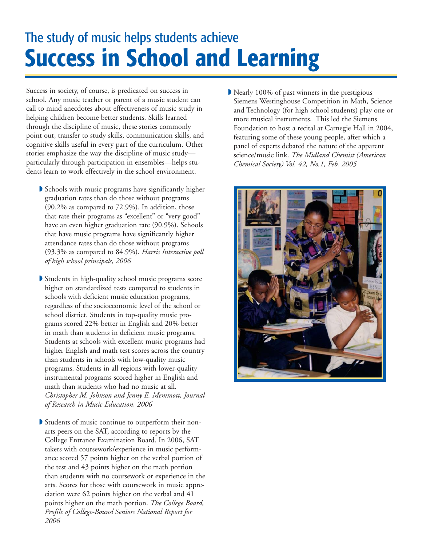## **Success in School and Learning**  The study of music helps students achieve

Success in society, of course, is predicated on success in school. Any music teacher or parent of a music student can call to mind anecdotes about effectiveness of music study in helping children become better students. Skills learned through the discipline of music, these stories commonly point out, transfer to study skills, communication skills, and cognitive skills useful in every part of the curriculum. Other stories emphasize the way the discipline of music study particularly through participation in ensembles—helps students learn to work effectively in the school environment.

- ◗ Schools with music programs have significantly higher graduation rates than do those without programs (90.2% as compared to 72.9%). In addition, those that rate their programs as "excellent" or "very good" have an even higher graduation rate (90.9%). Schools that have music programs have significantly higher attendance rates than do those without programs (93.3% as compared to 84.9%). *Harris Interactive poll of high school principals, 2006*
- ◗ Students in high-quality school music programs score higher on standardized tests compared to students in schools with deficient music education programs, regardless of the socioeconomic level of the school or school district. Students in top-quality music programs scored 22% better in English and 20% better in math than students in deficient music programs. Students at schools with excellent music programs had higher English and math test scores across the country than students in schools with low-quality music programs. Students in all regions with lower-quality instrumental programs scored higher in English and math than students who had no music at all. *Christopher M. Johnson and Jenny E. Memmott, Journal of Research in Music Education, 2006*
- ◗ Students of music continue to outperform their nonarts peers on the SAT, according to reports by the College Entrance Examination Board. In 2006, SAT takers with coursework/experience in music performance scored 57 points higher on the verbal portion of the test and 43 points higher on the math portion than students with no coursework or experience in the arts. Scores for those with coursework in music appreciation were 62 points higher on the verbal and 41 points higher on the math portion. *The College Board, Profile of College-Bound Seniors National Report for 2006*

◗ Nearly 100% of past winners in the prestigious Siemens Westinghouse Competition in Math, Science and Technology (for high school students) play one or more musical instruments. This led the Siemens Foundation to host a recital at Carnegie Hall in 2004, featuring some of these young people, after which a panel of experts debated the nature of the apparent science/music link. *The Midland Chemist (American Chemical Society) Vol. 42, No.1, Feb. 2005*